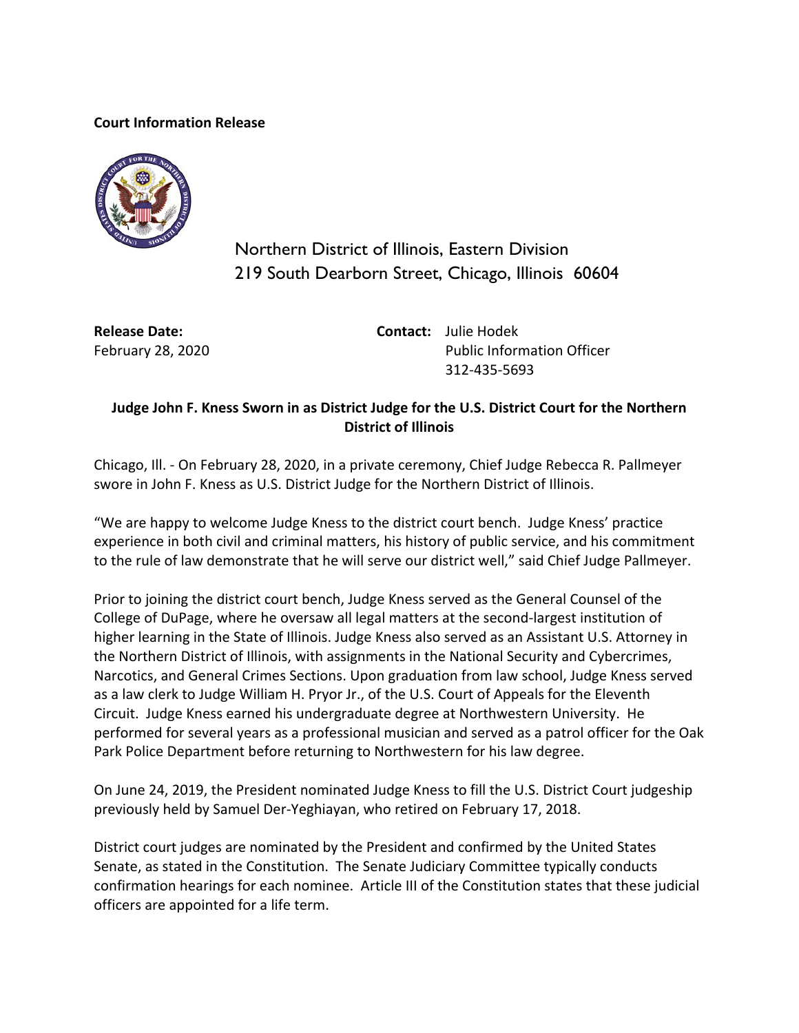## **Court Information Release**



Northern District of Illinois, Eastern Division 219 South Dearborn Street, Chicago, Illinois 60604

**Release Date:** February 28, 2020 **Contact:** Julie Hodek Public Information Officer 312-435-5693

## **Judge John F. Kness Sworn in as District Judge for the U.S. District Court for the Northern District of Illinois**

Chicago, Ill. - On February 28, 2020, in a private ceremony, Chief Judge Rebecca R. Pallmeyer swore in John F. Kness as U.S. District Judge for the Northern District of Illinois.

"We are happy to welcome Judge Kness to the district court bench. Judge Kness' practice experience in both civil and criminal matters, his history of public service, and his commitment to the rule of law demonstrate that he will serve our district well," said Chief Judge Pallmeyer.

Prior to joining the district court bench, Judge Kness served as the General Counsel of the College of DuPage, where he oversaw all legal matters at the second-largest institution of higher learning in the State of Illinois. Judge Kness also served as an Assistant U.S. Attorney in the Northern District of Illinois, with assignments in the National Security and Cybercrimes, Narcotics, and General Crimes Sections. Upon graduation from law school, Judge Kness served as a law clerk to Judge William H. Pryor Jr., of the U.S. Court of Appeals for the Eleventh Circuit. Judge Kness earned his undergraduate degree at Northwestern University. He performed for several years as a professional musician and served as a patrol officer for the Oak Park Police Department before returning to Northwestern for his law degree.

On June 24, 2019, the President nominated Judge Kness to fill the U.S. District Court judgeship previously held by Samuel Der-Yeghiayan, who retired on February 17, 2018.

District court judges are nominated by the President and confirmed by the United States Senate, as stated in the Constitution. The Senate Judiciary Committee typically conducts confirmation hearings for each nominee. Article III of the Constitution states that these judicial officers are appointed for a life term.